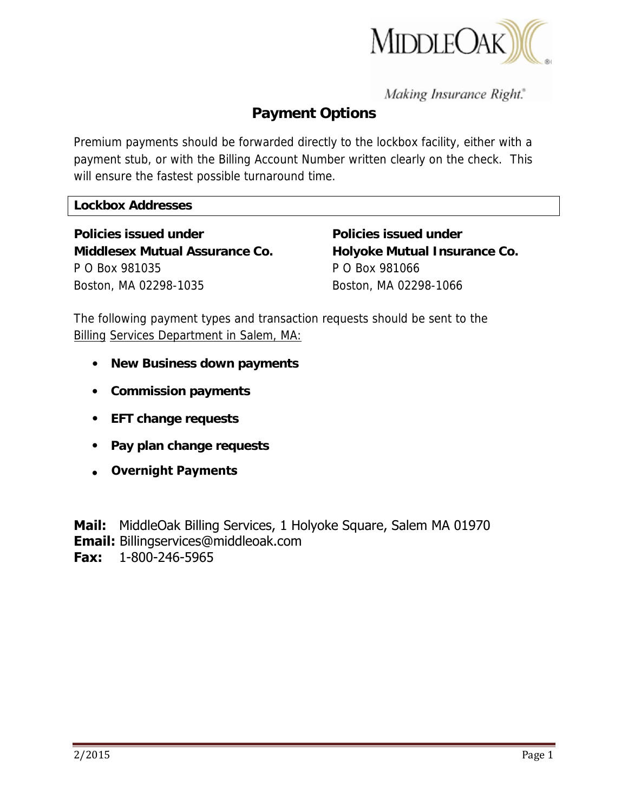

Making Insurance Right."

# **Payment Options**

Premium payments should be forwarded directly to the lockbox facility, either with a payment stub, or with the Billing Account Number written clearly on the check. This will ensure the fastest possible turnaround time.

#### **Lockbox Addresses**

**Policies issued under The Policies issued under The Policies issued under Middlesex Mutual Assurance Co. Holyoke Mutual Insurance Co.**  P O Box 981035 P O Box 981066 Boston, MA 02298-1035 Boston, MA 02298-1066

The following payment types and transaction requests should be sent to the Billing Services Department in Salem, MA:

- **New Business down payments**
- **Commission payments**
- **EFT change requests**
- **Pay plan change requests**
- **Overnight Payments**

**Mail:** MiddleOak Billing Services, 1 Holyoke Square, Salem MA 01970 **Email:** Billingservices@middleoak.com **Fax:** 1-800-246-5965